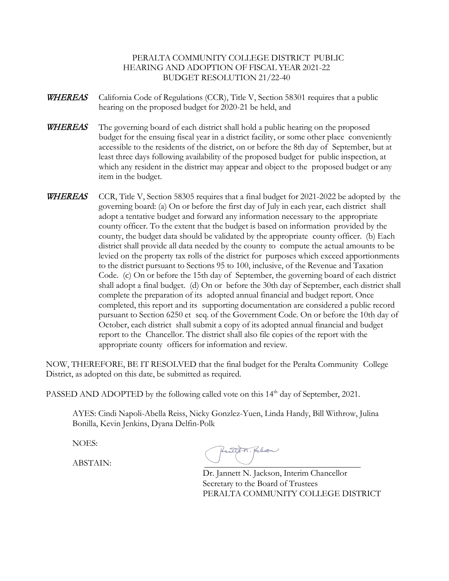## PERALTA COMMUNITY COLLEGE DISTRICT PUBLIC HEARING AND ADOPTION OF FISCAL YEAR 2021-22 BUDGET RESOLUTION 21/22-40

- **WHEREAS** California Code of Regulations (CCR), Title V, Section 58301 requires that a public hearing on the proposed budget for 2020-21 be held, and
- WHEREAS The governing board of each district shall hold a public hearing on the proposed budget for the ensuing fiscal year in a district facility, or some other place conveniently accessible to the residents of the district, on or before the 8th day of September, but at least three days following availability of the proposed budget for public inspection, at which any resident in the district may appear and object to the proposed budget or any item in the budget.
- **WHEREAS** CCR, Title V, Section 58305 requires that a final budget for 2021-2022 be adopted by the governing board: (a) On or before the first day of July in each year, each district shall adopt a tentative budget and forward any information necessary to the appropriate county officer. To the extent that the budget is based on information provided by the county, the budget data should be validated by the appropriate county officer. (b) Each district shall provide all data needed by the county to compute the actual amounts to be levied on the property tax rolls of the district for purposes which exceed apportionments to the district pursuant to Sections 95 to 100, inclusive, of the Revenue and Taxation Code. (c) On or before the 15th day of September, the governing board of each district shall adopt a final budget. (d) On or before the 30th day of September, each district shall complete the preparation of its adopted annual financial and budget report. Once completed, this report and its supporting documentation are considered a public record pursuant to Section 6250 et seq. of the Government Code. On or before the 10th day of October, each district shall submit a copy of its adopted annual financial and budget report to the Chancellor. The district shall also file copies of the report with the appropriate county officers for information and review.

NOW, THEREFORE, BE IT RESOLVED that the final budget for the Peralta Community College District, as adopted on this date, be submitted as required.

PASSED AND ADOPTED by the following called vote on this 14<sup>th</sup> day of September, 2021.

AYES: Cindi Napoli-Abella Reiss, Nicky Gonzlez-Yuen, Linda Handy, Bill Withrow, Julina Bonilla, Kevin Jenkins, Dyana Delfin-Polk

NOES:

ABSTAIN:

Dr. Jannett N. Jackson, Interim Chancellor Secretary to the Board of Trustees PERALTA COMMUNITY COLLEGE DISTRICT